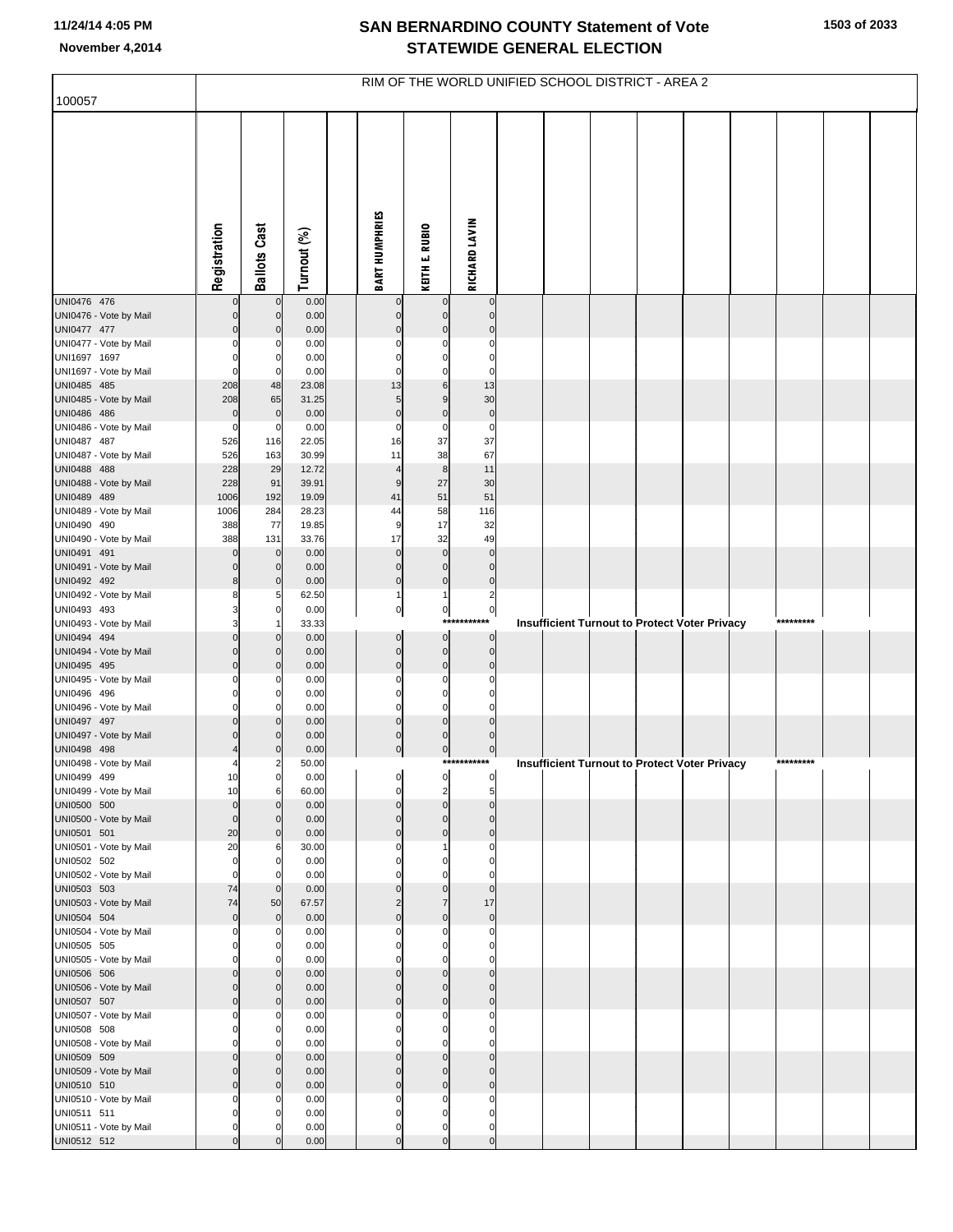| 100057                                | RIM OF THE WORLD UNIFIED SCHOOL DISTRICT - AREA 2 |                             |                |  |                         |                               |                            |  |  |  |                                                      |  |  |           |  |  |
|---------------------------------------|---------------------------------------------------|-----------------------------|----------------|--|-------------------------|-------------------------------|----------------------------|--|--|--|------------------------------------------------------|--|--|-----------|--|--|
|                                       |                                                   |                             |                |  |                         |                               |                            |  |  |  |                                                      |  |  |           |  |  |
|                                       | Registration                                      | <b>Ballots Cast</b>         | Turnout (%)    |  | <b>BART HUMPHRIES</b>   | KEITH E. RUBIO                | RICHARD LAVIN              |  |  |  |                                                      |  |  |           |  |  |
| UNI0476 476                           | $\mathbf 0$                                       | $\mathbf 0$                 | 0.00           |  | $\mathbf 0$             | $\mathbf 0$                   | $\mathbf 0$                |  |  |  |                                                      |  |  |           |  |  |
| UNI0476 - Vote by Mail                | $\mathbf 0$                                       | $\mathbf 0$                 | 0.00           |  | $\mathbf 0$             | $\mathbf 0$                   | $\mathbf{0}$               |  |  |  |                                                      |  |  |           |  |  |
| UNI0477 477<br>UNI0477 - Vote by Mail | $\mathbf 0$<br>$\mathbf 0$                        | $\mathbf 0$<br>$\Omega$     | 0.00<br>0.00   |  | $\Omega$                | $\mathbf 0$<br>$\Omega$       | $\Omega$<br>$\Omega$       |  |  |  |                                                      |  |  |           |  |  |
| UNI1697 1697                          | $\mathbf 0$                                       | 0                           | 0.00           |  | C                       | $\mathbf 0$                   | $\Omega$                   |  |  |  |                                                      |  |  |           |  |  |
| UNI1697 - Vote by Mail                | $\mathbf 0$                                       | 0                           | 0.00           |  | C                       | $\Omega$                      | C                          |  |  |  |                                                      |  |  |           |  |  |
| UNI0485 485                           | 208                                               | 48                          | 23.08          |  | 13                      | 6                             | 13                         |  |  |  |                                                      |  |  |           |  |  |
| UNI0485 - Vote by Mail<br>UNI0486 486 | 208<br>$\mathbf 0$                                | 65<br>$\mathbf 0$           | 31.25<br>0.00  |  | 5<br>$\mathbf 0$        | 9<br>$\mathbf 0$              | 30<br>$\pmb{0}$            |  |  |  |                                                      |  |  |           |  |  |
| UNI0486 - Vote by Mail                | $\mathbf 0$                                       | 0                           | 0.00           |  | C                       | $\mathbf 0$                   | $\mathbf 0$                |  |  |  |                                                      |  |  |           |  |  |
| UNI0487 487                           | 526                                               | 116                         | 22.05          |  | 16                      | 37                            | 37                         |  |  |  |                                                      |  |  |           |  |  |
| UNI0487 - Vote by Mail                | 526                                               | 163                         | 30.99          |  | 11                      | 38                            | 67                         |  |  |  |                                                      |  |  |           |  |  |
| UNI0488 488<br>UNI0488 - Vote by Mail | 228<br>228                                        | 29<br>91                    | 12.72<br>39.91 |  | $\overline{4}$<br>9     | 8<br>27                       | 11<br>30                   |  |  |  |                                                      |  |  |           |  |  |
| UNI0489 489                           | 1006                                              | 192                         | 19.09          |  | 41                      | 51                            | 51                         |  |  |  |                                                      |  |  |           |  |  |
| UNI0489 - Vote by Mail                | 1006                                              | 284                         | 28.23          |  | 44                      | 58                            | 116                        |  |  |  |                                                      |  |  |           |  |  |
| UNI0490 490                           | 388                                               | 77                          | 19.85          |  | 9                       | 17                            | 32                         |  |  |  |                                                      |  |  |           |  |  |
| UNI0490 - Vote by Mail<br>UNI0491 491 | 388<br>$\mathbf 0$                                | 131<br>$\mathbf 0$          | 33.76<br>0.00  |  | 17<br>$\Omega$          | 32<br>$\mathbf 0$             | 49<br>$\mathbf 0$          |  |  |  |                                                      |  |  |           |  |  |
| UNI0491 - Vote by Mail                | $\mathbf 0$                                       | $\mathbf 0$                 | 0.00           |  | $\mathbf 0$             | $\mathbf 0$                   | $\mathbf 0$                |  |  |  |                                                      |  |  |           |  |  |
| UNI0492 492                           | 8                                                 | $\mathbf 0$                 | 0.00           |  | $\mathbf 0$             | $\mathbf 0$                   | $\pmb{0}$                  |  |  |  |                                                      |  |  |           |  |  |
| UNI0492 - Vote by Mail                | 8                                                 | 5                           | 62.50          |  | 1                       | 1                             | $\overline{2}$             |  |  |  |                                                      |  |  |           |  |  |
| UNI0493 493<br>UNI0493 - Vote by Mail | 3<br>3                                            | $\mathbf 0$                 | 0.00<br>33.33  |  | $\pmb{0}$               | $\overline{0}$<br>***         | $\bf 0$<br>********        |  |  |  | <b>Insufficient Turnout to Protect Voter Privacy</b> |  |  | ********* |  |  |
| UNI0494 494                           | $\mathbf 0$                                       | $\mathbf 0$                 | 0.00           |  | $\mathbf 0$             | $\overline{0}$                | $\mathbf 0$                |  |  |  |                                                      |  |  |           |  |  |
| UNI0494 - Vote by Mail                | $\mathbf 0$                                       | $\mathbf{0}$                | 0.00           |  | $\mathbf 0$             | $\mathbf{0}$                  | $\mathbf 0$                |  |  |  |                                                      |  |  |           |  |  |
| UNI0495 495<br>UNI0495 - Vote by Mail | $\mathbf 0$<br>$\mathbf 0$                        | $\mathbf 0$<br>$\Omega$     | 0.00<br>0.00   |  | $\mathbf 0$<br>C        | $\mathbf 0$<br>0              | $\Omega$<br>$\Omega$       |  |  |  |                                                      |  |  |           |  |  |
| UNI0496 496                           | $\mathbf 0$                                       | $\mathbf 0$                 | 0.00           |  | $\Omega$                | $\mathbf 0$                   | $\Omega$                   |  |  |  |                                                      |  |  |           |  |  |
| UNI0496 - Vote by Mail                | $\mathbf 0$                                       | $\Omega$                    | 0.00           |  | $\Omega$                | $\Omega$                      | $\sqrt{ }$                 |  |  |  |                                                      |  |  |           |  |  |
| UNI0497 497                           | $\mathbf 0$                                       | $\mathbf 0$                 | 0.00           |  | $\mathbf 0$             | $\mathbf 0$                   | $\Omega$                   |  |  |  |                                                      |  |  |           |  |  |
| UNI0497 - Vote by Mail<br>UNI0498 498 | $\mathbf 0$                                       | $\mathbf 0$<br>$\mathbf{0}$ | 0.00<br>0.00   |  | $\Omega$<br>$\mathbf 0$ | $\mathbf 0$<br>$\mathbf 0$    | $\mathbf 0$<br>$\mathbf 0$ |  |  |  |                                                      |  |  |           |  |  |
| UNI0498 - Vote by Mail                | 4                                                 |                             | 50.00          |  |                         |                               | ***********                |  |  |  | Insufficient Turnout to Protect Voter Privacy        |  |  | ********* |  |  |
| UNI0499 499                           | 10                                                | $\mathbf{0}$                | 0.00           |  | ا.<br>$\mathbf{I}$      | $\mathsf{d}$                  |                            |  |  |  |                                                      |  |  |           |  |  |
| UNI0499 - Vote by Mail                | 10<br>$\mathbf 0$                                 | 6                           | 60.00          |  | 0<br>$\Omega$           | $\overline{2}$<br>$\mathbf 0$ | 5<br>$\mathbf{0}$          |  |  |  |                                                      |  |  |           |  |  |
| UNI0500 500<br>UNI0500 - Vote by Mail | $\mathbf 0$                                       | $\mathbf{0}$<br>$\Omega$    | 0.00<br>0.00   |  | $\Omega$                | $\mathbf 0$                   | $\Omega$                   |  |  |  |                                                      |  |  |           |  |  |
| UNI0501 501                           | 20                                                | $\mathbf{0}$                | 0.00           |  | $\Omega$                | $\mathbf 0$                   | $\mathbf{0}$               |  |  |  |                                                      |  |  |           |  |  |
| UNI0501 - Vote by Mail                | 20                                                | 6                           | 30.00          |  | C                       |                               | $\Omega$                   |  |  |  |                                                      |  |  |           |  |  |
| UNI0502 502<br>UNI0502 - Vote by Mail | $\mathbf 0$<br>$\mathbf 0$                        | $\mathbf 0$                 | 0.00<br>0.00   |  | 0                       | $\Omega$<br>0                 | $\Omega$<br>$\sqrt{ }$     |  |  |  |                                                      |  |  |           |  |  |
| UNI0503 503                           | 74                                                | $\mathbf 0$                 | 0.00           |  | $\Omega$                | $\mathbf 0$                   | $\mathbf{0}$               |  |  |  |                                                      |  |  |           |  |  |
| UNI0503 - Vote by Mail                | 74                                                | 50                          | 67.57          |  | $\overline{2}$          | $\overline{7}$                | 17                         |  |  |  |                                                      |  |  |           |  |  |
| UNI0504 504                           | $\mathbf 0$                                       | $\overline{0}$              | 0.00           |  | $\Omega$                | $\mathbf 0$                   | $\mathbf 0$                |  |  |  |                                                      |  |  |           |  |  |
| UNI0504 - Vote by Mail<br>UNI0505 505 | $\mathbf 0$<br>$\mathbf 0$                        | $\Omega$<br>$\Omega$        | 0.00<br>0.00   |  | $\Omega$<br>$\Omega$    | $\Omega$<br>$\mathbf 0$       | $\mathbf 0$<br>$\Omega$    |  |  |  |                                                      |  |  |           |  |  |
| UNI0505 - Vote by Mail                | $\mathbf 0$                                       |                             | 0.00           |  | ſ                       | $\Omega$                      | $\Omega$                   |  |  |  |                                                      |  |  |           |  |  |
| UNI0506 506                           | $\mathbf 0$                                       | $\mathbf 0$                 | 0.00           |  | $\Omega$                | $\mathbf 0$                   | $\mathbf{0}$               |  |  |  |                                                      |  |  |           |  |  |
| UNI0506 - Vote by Mail                | $\mathbf 0$                                       | $\mathbf{0}$                | 0.00           |  | $\Omega$                | $\Omega$                      | $\mathbf{0}$               |  |  |  |                                                      |  |  |           |  |  |
| UNI0507 507<br>UNI0507 - Vote by Mail | $\mathbf 0$<br>$\mathbf 0$                        | $\overline{0}$<br>$\Omega$  | 0.00<br>0.00   |  | $\Omega$<br>C           | $\mathbf 0$<br>$\Omega$       | $\mathbf{0}$<br>$\Omega$   |  |  |  |                                                      |  |  |           |  |  |
| UNI0508 508                           | $\mathbf 0$                                       | $\Omega$                    | 0.00           |  | $\Omega$                | $\mathbf 0$                   | $\Omega$                   |  |  |  |                                                      |  |  |           |  |  |
| UNI0508 - Vote by Mail                | $\mathbf 0$                                       |                             | 0.00           |  |                         | 0                             | $\sqrt{ }$                 |  |  |  |                                                      |  |  |           |  |  |
| UNI0509 509                           | $\mathbf 0$                                       | $\mathbf 0$                 | 0.00           |  | $\Omega$                | $\mathbf 0$                   | $\mathbf{0}$               |  |  |  |                                                      |  |  |           |  |  |
| UNI0509 - Vote by Mail<br>UNI0510 510 | $\mathbf 0$<br>$\mathbf 0$                        | $\mathbf{0}$<br>$\mathbf 0$ | 0.00<br>0.00   |  | $\Omega$<br>$\Omega$    | $\Omega$<br>$\mathbf 0$       | $\mathbf 0$<br>$\Omega$    |  |  |  |                                                      |  |  |           |  |  |
| UNI0510 - Vote by Mail                | $\mathbf 0$                                       | $\Omega$                    | 0.00           |  | $\Omega$                | $\Omega$                      | $\Omega$                   |  |  |  |                                                      |  |  |           |  |  |
| UNI0511 511                           | $\mathbf 0$                                       | $\Omega$                    | 0.00           |  | $\Omega$                | $\mathbf 0$                   | $\Omega$                   |  |  |  |                                                      |  |  |           |  |  |
| UNI0511 - Vote by Mail                | $\mathbf 0$<br>$\Omega$                           |                             | 0.00<br>0.00   |  | $\Omega$                | 0<br>$\Omega$                 | $\Omega$<br>$\mathsf{C}$   |  |  |  |                                                      |  |  |           |  |  |
| UNI0512 512                           |                                                   |                             |                |  |                         |                               |                            |  |  |  |                                                      |  |  |           |  |  |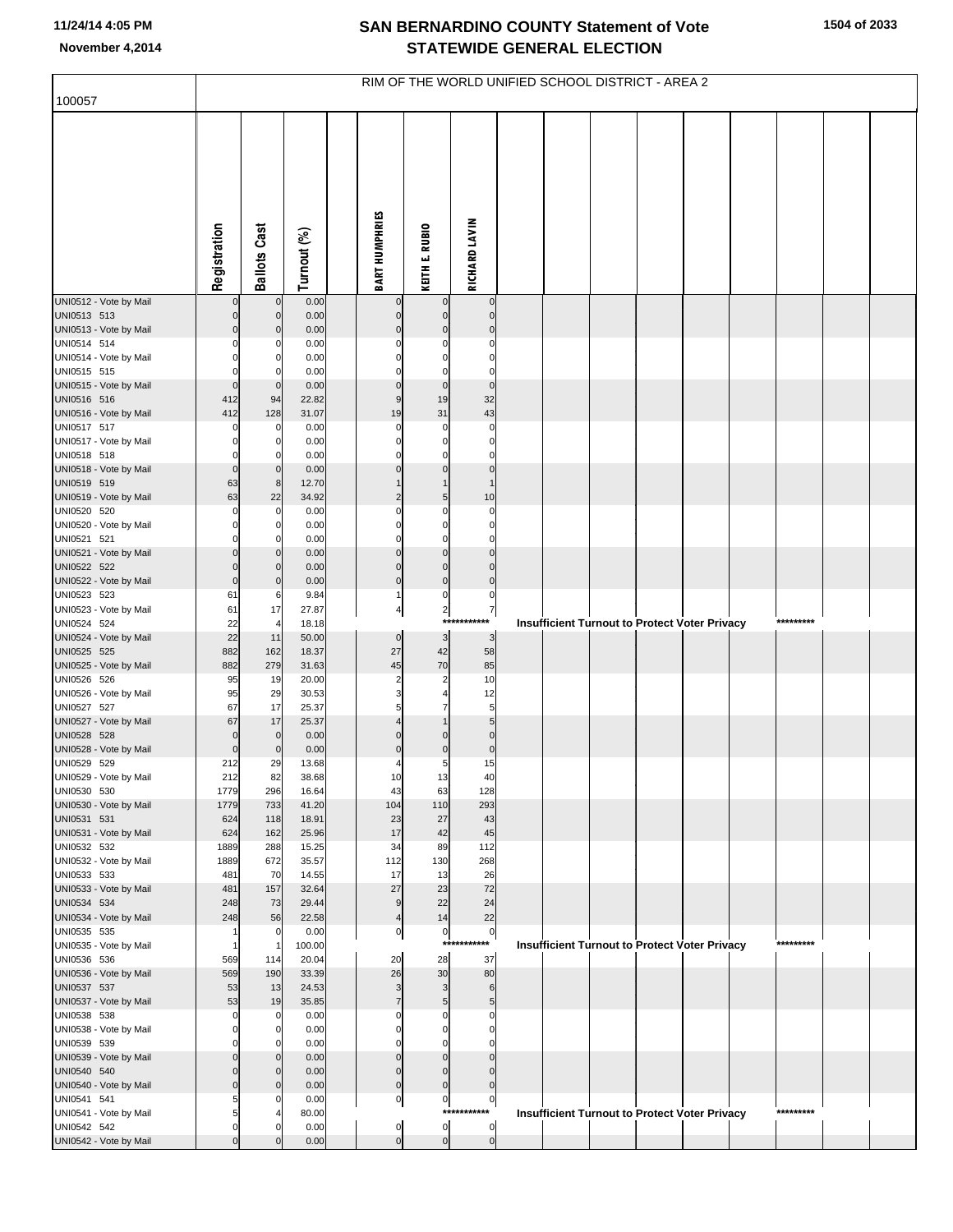| 100057                                | RIM OF THE WORLD UNIFIED SCHOOL DISTRICT - AREA 2 |                      |                |  |                         |                            |                           |  |  |  |  |                                                      |  |           |  |
|---------------------------------------|---------------------------------------------------|----------------------|----------------|--|-------------------------|----------------------------|---------------------------|--|--|--|--|------------------------------------------------------|--|-----------|--|
|                                       |                                                   |                      |                |  |                         |                            |                           |  |  |  |  |                                                      |  |           |  |
|                                       | Registration                                      | <b>Ballots Cast</b>  | Turnout (%)    |  | <b>BART HUMPHRIES</b>   | KEITH E. RUBIO             | <b>RICHARD LAVIN</b>      |  |  |  |  |                                                      |  |           |  |
| UNI0512 - Vote by Mail                |                                                   | $\mathbf 0$          | 0.00           |  | 0                       | $\mathbf 0$                | $\pmb{0}$                 |  |  |  |  |                                                      |  |           |  |
| UNI0513 513                           | $\mathbf 0$                                       | $\mathbf 0$          | 0.00           |  | $\Omega$                | $\mathbf 0$                | $\mathbf{0}$              |  |  |  |  |                                                      |  |           |  |
| UNI0513 - Vote by Mail<br>UNI0514 514 | $\mathbf 0$<br>$\mathbf 0$                        | $\mathbf 0$<br>0     | 0.00<br>0.00   |  | $\Omega$                | $\mathbf 0$<br>$\Omega$    | $\mathbf 0$<br>$\Omega$   |  |  |  |  |                                                      |  |           |  |
| UNI0514 - Vote by Mail                | $\mathbf 0$                                       | 0                    | 0.00           |  | $\Omega$                | $\Omega$                   | $\mathbf 0$               |  |  |  |  |                                                      |  |           |  |
| UNI0515 515                           | $\Omega$                                          |                      | 0.00           |  |                         | $\Omega$                   | $\Omega$                  |  |  |  |  |                                                      |  |           |  |
| UNI0515 - Vote by Mail<br>UNI0516 516 | $\mathbf 0$<br>412                                | $\mathbf 0$<br>94    | 0.00<br>22.82  |  | $\mathbf 0$<br>9        | $\mathbf 0$<br>19          | $\mathbf 0$<br>32         |  |  |  |  |                                                      |  |           |  |
| UNI0516 - Vote by Mail                | 412                                               | 128                  | 31.07          |  | 19                      | 31                         | 43                        |  |  |  |  |                                                      |  |           |  |
| UNI0517 517                           | $\Omega$                                          | 0                    | 0.00           |  | $\Omega$                | $\mathbf 0$                | $\mathbf 0$               |  |  |  |  |                                                      |  |           |  |
| UNI0517 - Vote by Mail<br>UNI0518 518 | $\mathbf 0$<br>$\Omega$                           | 0                    | 0.00<br>0.00   |  | $\Omega$                | 0<br>$\Omega$              | $\mathbf 0$<br>$\Omega$   |  |  |  |  |                                                      |  |           |  |
| UNI0518 - Vote by Mail                | $\mathbf 0$                                       | $\mathbf 0$          | 0.00           |  | $\Omega$                | $\mathbf 0$                | $\mathbf 0$               |  |  |  |  |                                                      |  |           |  |
| UNI0519 519                           | 63                                                | 8 <sup>1</sup>       | 12.70          |  |                         | $\overline{1}$             | $\mathbf{1}$              |  |  |  |  |                                                      |  |           |  |
| UNI0519 - Vote by Mail<br>UNI0520 520 | 63<br>$\mathbf 0$                                 | 22<br>0              | 34.92<br>0.00  |  | $\overline{2}$<br>C     | 5<br>$\Omega$              | 10<br>$\mathbf 0$         |  |  |  |  |                                                      |  |           |  |
| UNI0520 - Vote by Mail                | $\mathbf 0$                                       | 0                    | 0.00           |  | $\Omega$                | $\Omega$                   | $\Omega$                  |  |  |  |  |                                                      |  |           |  |
| UNI0521 521<br>UNI0521 - Vote by Mail | $\Omega$<br>$\mathbf 0$                           | O<br>$\mathbf 0$     | 0.00<br>0.00   |  | $\Omega$<br>$\Omega$    | $\Omega$<br>$\mathbf 0$    | $\Omega$<br>$\mathbf 0$   |  |  |  |  |                                                      |  |           |  |
| UNI0522 522                           | $\mathbf 0$                                       | $\Omega$             | 0.00           |  | $\Omega$                | $\mathbf 0$                | $\mathbf 0$               |  |  |  |  |                                                      |  |           |  |
| UNI0522 - Vote by Mail                | $\mathbf 0$                                       | $\mathbf 0$          | 0.00           |  | $\mathbf 0$             | $\mathbf 0$                | $\mathbf 0$               |  |  |  |  |                                                      |  |           |  |
| UNI0523 523<br>UNI0523 - Vote by Mail | 61<br>61                                          | 6<br>17              | 9.84<br>27.87  |  | 1<br>4                  | 0<br>$\overline{2}$        | $\mathbf 0$               |  |  |  |  |                                                      |  |           |  |
| UNI0524 524                           | 22                                                |                      | 18.18          |  |                         | $***$                      | $\overline{7}$<br>******* |  |  |  |  | <b>Insufficient Turnout to Protect Voter Privacy</b> |  | ********* |  |
| UNI0524 - Vote by Mail                | 22                                                | 11                   | 50.00          |  | $\mathbf 0$             | 3                          | 3                         |  |  |  |  |                                                      |  |           |  |
| UNI0525 525<br>UNI0525 - Vote by Mail | 882<br>882                                        | 162<br>279           | 18.37<br>31.63 |  | 27<br>45                | 42<br>70                   | 58<br>85                  |  |  |  |  |                                                      |  |           |  |
| UNI0526 526                           | 95                                                | 19                   | 20.00          |  | $\overline{2}$          | $\overline{2}$             | 10                        |  |  |  |  |                                                      |  |           |  |
| UNI0526 - Vote by Mail                | 95                                                | 29                   | 30.53          |  | 3                       |                            | 12                        |  |  |  |  |                                                      |  |           |  |
| UNI0527 527<br>UNI0527 - Vote by Mail | 67<br>67                                          | 17<br>17             | 25.37<br>25.37 |  | 5<br>4                  | 7                          | 5<br>5                    |  |  |  |  |                                                      |  |           |  |
| UNI0528 528                           | $\mathbf 0$                                       | $\mathbf 0$          | 0.00           |  | $\Omega$                | $\Omega$                   | $\mathbf 0$               |  |  |  |  |                                                      |  |           |  |
| UNI0528 - Vote by Mail                | $\mathbf 0$                                       | $\mathbf 0$          | 0.00           |  | $\mathbf 0$             | $\mathbf 0$                | $\pmb{0}$                 |  |  |  |  |                                                      |  |           |  |
| UNI0529 529<br>UNI0529 - Vote by Mail | 212<br>212                                        | 29<br>82             | 13.68<br>38.68 |  | 10                      | 5<br>13                    | 15<br>40                  |  |  |  |  |                                                      |  |           |  |
| UNI0530 530                           | 1779                                              | 296                  | 16.64          |  | 43                      | 63                         | 128                       |  |  |  |  |                                                      |  |           |  |
| UNI0530 - Vote by Mail<br>UNI0531 531 | 1779<br>624                                       | 733<br>118           | 41.20<br>18.91 |  | 104<br>23               | 110<br>27                  | 293<br>43                 |  |  |  |  |                                                      |  |           |  |
| UNI0531 - Vote by Mail                | 624                                               | 162                  | 25.96          |  | 17                      | 42                         | 45                        |  |  |  |  |                                                      |  |           |  |
| UNI0532 532                           | 1889                                              | 288                  | 15.25          |  | 34                      | 89                         | 112                       |  |  |  |  |                                                      |  |           |  |
| UNI0532 - Vote by Mail<br>UNI0533 533 | 1889<br>481                                       | 672<br>70            | 35.57<br>14.55 |  | 112<br>17               | 130<br>13                  | 268<br>26                 |  |  |  |  |                                                      |  |           |  |
| UNI0533 - Vote by Mail                | 481                                               | 157                  | 32.64          |  | 27                      | 23                         | 72                        |  |  |  |  |                                                      |  |           |  |
| UNI0534 534                           | 248                                               | 73                   | 29.44          |  | 9                       | 22                         | 24                        |  |  |  |  |                                                      |  |           |  |
| UNI0534 - Vote by Mail<br>UNI0535 535 | 248<br>$\mathbf{1}$                               | 56<br>$\mathbf 0$    | 22.58<br>0.00  |  | 4<br>$\boldsymbol{0}$   | 14<br>$\mathbf 0$          | 22<br>$\overline{0}$      |  |  |  |  |                                                      |  |           |  |
| UNI0535 - Vote by Mail                | $\mathbf{1}$                                      | -1                   | 100.00         |  |                         |                            | ***********               |  |  |  |  | <b>Insufficient Turnout to Protect Voter Privacy</b> |  | ********* |  |
| UNI0536 536<br>UNI0536 - Vote by Mail | 569<br>569                                        | 114<br>190           | 20.04<br>33.39 |  | 20<br>26                | 28<br>30                   | 37<br>80                  |  |  |  |  |                                                      |  |           |  |
| UNI0537 537                           | 53                                                | 13                   | 24.53          |  | 3                       | 3                          | 6                         |  |  |  |  |                                                      |  |           |  |
| UNI0537 - Vote by Mail                | 53                                                | 19                   | 35.85          |  | $\overline{7}$          | $\sqrt{5}$                 | 5                         |  |  |  |  |                                                      |  |           |  |
| UNI0538 538<br>UNI0538 - Vote by Mail | $\mathbf 0$<br>$\mathbf 0$                        | 0<br>0               | 0.00<br>0.00   |  | C<br>$\Omega$           | $\Omega$<br>$\Omega$       | 0<br>$\mathbf 0$          |  |  |  |  |                                                      |  |           |  |
| UNI0539 539                           | $\mathbf 0$                                       |                      | 0.00           |  | C                       | $\Omega$                   | O                         |  |  |  |  |                                                      |  |           |  |
| UNI0539 - Vote by Mail                | $\mathbf 0$                                       | $\mathbf 0$          | 0.00           |  | $\Omega$                | $\mathbf 0$                | $\Omega$                  |  |  |  |  |                                                      |  |           |  |
| UNI0540 540<br>UNI0540 - Vote by Mail | $\mathbf 0$<br>$\mathbf 0$                        | $\Omega$<br>$\Omega$ | 0.00<br>0.00   |  | $\Omega$<br>$\mathbf 0$ | $\mathbf 0$<br>$\mathbf 0$ | $\Omega$<br>$\mathbf 0$   |  |  |  |  |                                                      |  |           |  |
| UNI0541 541                           | 5                                                 | O                    | 0.00           |  | $\boldsymbol{0}$        | $\pmb{0}$                  | $\mathbf 0$               |  |  |  |  |                                                      |  |           |  |
| UNI0541 - Vote by Mail                | 5                                                 |                      | 80.00          |  |                         |                            | ***********               |  |  |  |  | <b>Insufficient Turnout to Protect Voter Privacy</b> |  | ********* |  |
| UNI0542 542<br>UNI0542 - Vote by Mail | $\mathbf 0$<br>$\mathbf 0$                        | O<br>$\Omega$        | 0.00<br>0.00   |  | 0<br>$\Omega$           | $\pmb{0}$<br>$\mathbf 0$   | 0<br>$\overline{0}$       |  |  |  |  |                                                      |  |           |  |
|                                       |                                                   |                      |                |  |                         |                            |                           |  |  |  |  |                                                      |  |           |  |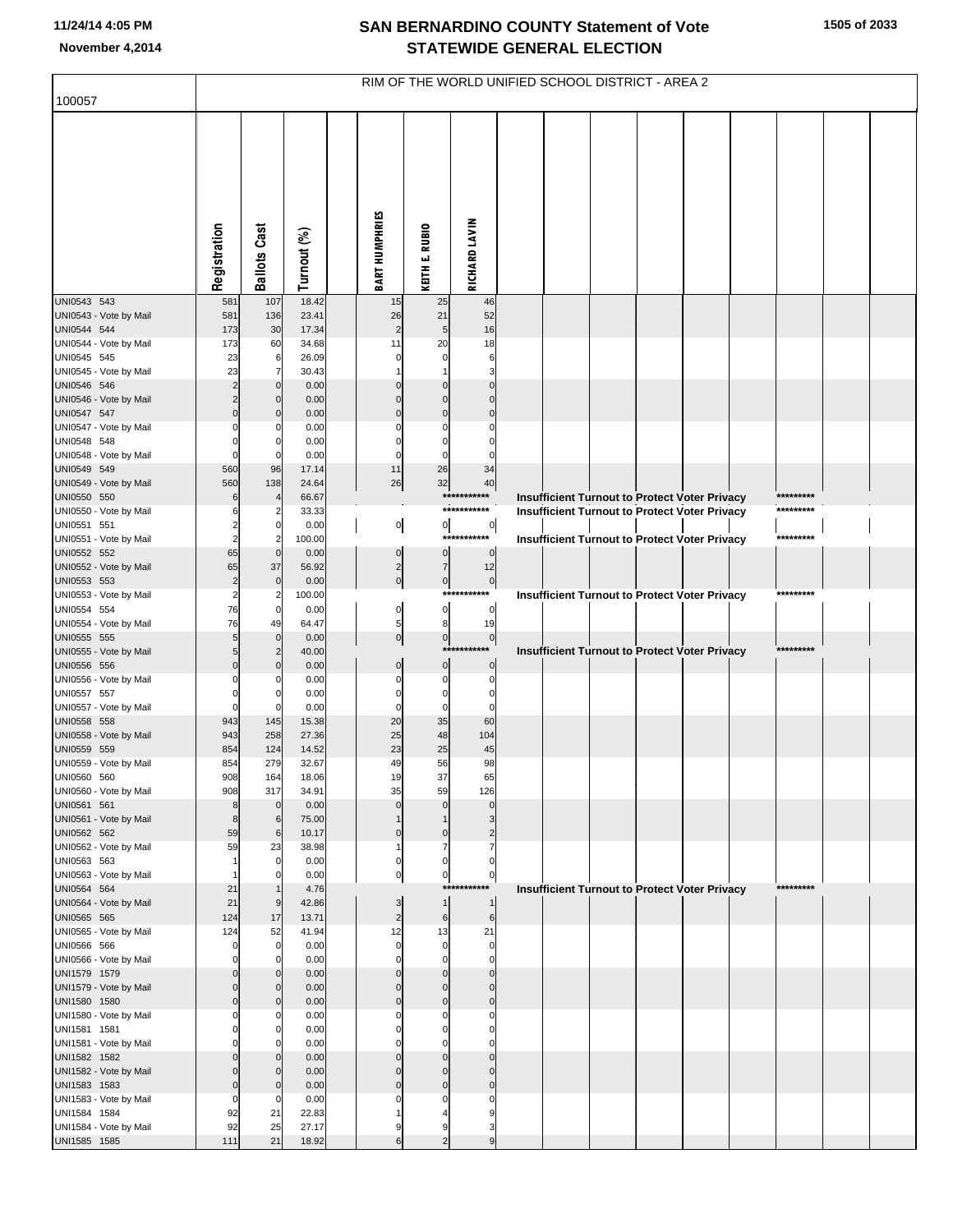| 100057                                 | RIM OF THE WORLD UNIFIED SCHOOL DISTRICT - AREA 2 |                                  |                |  |                         |                                |                               |  |  |  |  |                                                                                                              |  |           |  |  |
|----------------------------------------|---------------------------------------------------|----------------------------------|----------------|--|-------------------------|--------------------------------|-------------------------------|--|--|--|--|--------------------------------------------------------------------------------------------------------------|--|-----------|--|--|
|                                        |                                                   |                                  |                |  |                         |                                |                               |  |  |  |  |                                                                                                              |  |           |  |  |
|                                        |                                                   |                                  |                |  |                         |                                |                               |  |  |  |  |                                                                                                              |  |           |  |  |
|                                        |                                                   |                                  |                |  |                         |                                |                               |  |  |  |  |                                                                                                              |  |           |  |  |
|                                        |                                                   |                                  |                |  |                         |                                |                               |  |  |  |  |                                                                                                              |  |           |  |  |
|                                        |                                                   |                                  |                |  |                         |                                |                               |  |  |  |  |                                                                                                              |  |           |  |  |
|                                        |                                                   |                                  |                |  |                         |                                |                               |  |  |  |  |                                                                                                              |  |           |  |  |
|                                        |                                                   |                                  |                |  |                         |                                |                               |  |  |  |  |                                                                                                              |  |           |  |  |
|                                        |                                                   |                                  |                |  |                         |                                |                               |  |  |  |  |                                                                                                              |  |           |  |  |
|                                        | Registration                                      | <b>Ballots Cast</b>              | Turnout (%)    |  | <b>BART HUMPHRIES</b>   | <b>KEITH E. RUBIO</b>          | <b>RICHARD LAVIN</b>          |  |  |  |  |                                                                                                              |  |           |  |  |
| UNI0543 543                            | 581                                               | 107                              | 18.42          |  | 15                      | 25                             | 46                            |  |  |  |  |                                                                                                              |  |           |  |  |
| UNI0543 - Vote by Mail                 | 581                                               | 136                              | 23.41          |  | 26                      | 21                             | 52                            |  |  |  |  |                                                                                                              |  |           |  |  |
| UNI0544 544                            | 173                                               | 30                               | 17.34          |  | $\overline{2}$<br>11    | 5                              | 16                            |  |  |  |  |                                                                                                              |  |           |  |  |
| UNI0544 - Vote by Mail<br>UNI0545 545  | 173<br>23                                         | 60<br>6                          | 34.68<br>26.09 |  | $\Omega$                | 20<br>$\mathbf 0$              | 18<br>6                       |  |  |  |  |                                                                                                              |  |           |  |  |
| UNI0545 - Vote by Mail                 | 23                                                | 7                                | 30.43          |  |                         | 1                              | 3                             |  |  |  |  |                                                                                                              |  |           |  |  |
| UNI0546 546<br>UNI0546 - Vote by Mail  | $\overline{c}$<br>$\overline{c}$                  | $\mathbf 0$<br>$\mathbf 0$       | 0.00<br>0.00   |  | $\Omega$<br>$\Omega$    | $\mathcal{C}$<br>$\Omega$      | $\mathbf 0$<br>$\mathbf 0$    |  |  |  |  |                                                                                                              |  |           |  |  |
| UNI0547 547                            | $\mathbf 0$                                       | $\mathbf 0$                      | 0.00           |  | $\Omega$                | $\mathbf 0$                    | $\mathbf 0$                   |  |  |  |  |                                                                                                              |  |           |  |  |
| UNI0547 - Vote by Mail                 | $\Omega$                                          | 0                                | 0.00           |  | 0                       | $\mathsf{C}$                   | $\Omega$                      |  |  |  |  |                                                                                                              |  |           |  |  |
| UNI0548 548<br>UNI0548 - Vote by Mail  | $\Omega$<br>$\Omega$                              | 0<br>$\Omega$                    | 0.00<br>0.00   |  | $\Omega$<br>$\Omega$    | $\mathbf 0$<br>$\mathbf 0$     | $\Omega$<br>$\Omega$          |  |  |  |  |                                                                                                              |  |           |  |  |
| UNI0549 549                            | 560                                               | 96                               | 17.14          |  | 11                      | 26                             | 34                            |  |  |  |  |                                                                                                              |  |           |  |  |
| UNI0549 - Vote by Mail                 | 560                                               | 138                              | 24.64          |  | 26                      | 32                             | 40<br>***********             |  |  |  |  |                                                                                                              |  | ********* |  |  |
| UNI0550 550<br>UNI0550 - Vote by Mail  | 6<br>6                                            | 2                                | 66.67<br>33.33 |  |                         |                                | ***********                   |  |  |  |  | <b>Insufficient Turnout to Protect Voter Privacy</b><br><b>Insufficient Turnout to Protect Voter Privacy</b> |  | ********* |  |  |
| UNI0551 551                            | $\overline{2}$                                    | $\mathbf 0$                      | 0.00           |  | $\overline{0}$          | $\overline{0}$                 | $\overline{0}$                |  |  |  |  |                                                                                                              |  |           |  |  |
| UNI0551 - Vote by Mail<br>UNI0552 552  | $\overline{2}$<br>65                              | $\overline{2}$<br>$\overline{0}$ | 100.00<br>0.00 |  | $\pmb{0}$               | $\mathbf 0$                    | ***********<br>$\overline{0}$ |  |  |  |  | <b>Insufficient Turnout to Protect Voter Privacy</b>                                                         |  | ********* |  |  |
| UNI0552 - Vote by Mail                 | 65                                                | 37                               | 56.92          |  | $\overline{2}$          | $\overline{7}$                 | 12                            |  |  |  |  |                                                                                                              |  |           |  |  |
| UNI0553 553                            | $\overline{c}$                                    | $\mathbf 0$                      | 0.00           |  | $\overline{0}$          | $\pmb{0}$                      | $\overline{0}$                |  |  |  |  |                                                                                                              |  |           |  |  |
| UNI0553 - Vote by Mail<br>UNI0554 554  | $\overline{2}$<br>76                              | $\overline{2}$<br>$\mathbf 0$    | 100.00<br>0.00 |  | $\overline{0}$          | $\mathbf 0$                    | ***********<br>$\overline{0}$ |  |  |  |  | Insufficient Turnout to Protect Voter Privacy                                                                |  | ********* |  |  |
| UNI0554 - Vote by Mail                 | 76                                                | 49                               | 64.47          |  | 5                       | 8                              | 19                            |  |  |  |  |                                                                                                              |  |           |  |  |
| UNI0555 555                            | $\sqrt{5}$                                        | $\mathbf 0$                      | 0.00           |  | 0                       | $\pmb{0}$                      | $\circ$<br>***********        |  |  |  |  |                                                                                                              |  | ********* |  |  |
| UNI0555 - Vote by Mail<br>UNI0556 556  | $\sqrt{5}$<br>$\mathbf 0$                         | $\overline{2}$<br>$\mathbf 0$    | 40.00<br>0.00  |  | $\mathbf 0$             | $\mathbf 0$                    | $\overline{0}$                |  |  |  |  | Insufficient Turnout to Protect Voter Privacy                                                                |  |           |  |  |
| UNI0556 - Vote by Mail                 | $\Omega$                                          | 0                                | 0.00           |  | $\Omega$                | $\Omega$                       | $\mathbf 0$                   |  |  |  |  |                                                                                                              |  |           |  |  |
| UNI0557 557<br>UNI0557 - Vote by Mail  | 0<br>$\Omega$                                     | 0<br>0                           | 0.00<br>0.00   |  | $\Omega$<br>$\Omega$    | $\mathbf 0$<br>$\mathbf 0$     | $\mathbf 0$<br>$\Omega$       |  |  |  |  |                                                                                                              |  |           |  |  |
| UNI0558 558                            | 943                                               | 145                              | 15.38          |  | 20                      | 35                             | 60                            |  |  |  |  |                                                                                                              |  |           |  |  |
| UNI0558 - Vote by Mail                 | 943                                               | 258                              | 27.36          |  | 25                      | 48                             | 104                           |  |  |  |  |                                                                                                              |  |           |  |  |
| UNI0559 559<br>UNI0559 - Vote by Mail  | 854<br>854                                        | 124<br>279                       | 14.52<br>32.67 |  | 23<br>49                | 25<br>56                       | 45<br>98                      |  |  |  |  |                                                                                                              |  |           |  |  |
| UNI0560 560                            | 908                                               | 164                              | 18.06          |  | 19                      | 37                             | 65                            |  |  |  |  |                                                                                                              |  |           |  |  |
| UNI0560 - Vote by Mail<br>UNI0561 561  | 908<br>8                                          | 317<br>$\mathbf 0$               | 34.91<br>0.00  |  | 35<br>$\Omega$          | 59<br>$\Omega$                 | 126<br>$\mathbf 0$            |  |  |  |  |                                                                                                              |  |           |  |  |
| UNI0561 - Vote by Mail                 | 8                                                 | 6                                | 75.00          |  |                         |                                | 3                             |  |  |  |  |                                                                                                              |  |           |  |  |
| UNI0562 562                            | 59                                                | 6                                | 10.17          |  | $\Omega$                | $\mathbf 0$                    | 2                             |  |  |  |  |                                                                                                              |  |           |  |  |
| UNI0562 - Vote by Mail<br>UNI0563 563  | 59                                                | 23<br>$\Omega$                   | 38.98<br>0.00  |  | 1<br>$\mathbf 0$        | $\overline{7}$<br>$\mathbf 0$  | $\mathbf 0$                   |  |  |  |  |                                                                                                              |  |           |  |  |
| UNI0563 - Vote by Mail                 |                                                   |                                  | 0.00           |  | $\overline{0}$          | $\mathbf 0$                    | $\overline{0}$                |  |  |  |  |                                                                                                              |  |           |  |  |
| UNI0564 564                            | 21                                                |                                  | 4.76           |  |                         |                                | ***********                   |  |  |  |  | Insufficient Turnout to Protect Voter Privacy                                                                |  | ********* |  |  |
| UNI0564 - Vote by Mail<br>UNI0565 565  | 21<br>124                                         | 9<br>17                          | 42.86<br>13.71 |  | 3<br>$\overline{2}$     | $\mathbf{1}$<br>6              | 1<br>6                        |  |  |  |  |                                                                                                              |  |           |  |  |
| UNI0565 - Vote by Mail                 | 124                                               | 52                               | 41.94          |  | 12                      | 13                             | 21                            |  |  |  |  |                                                                                                              |  |           |  |  |
| UNI0566 566<br>UNI0566 - Vote by Mail  | $\mathbf 0$<br>$\Omega$                           | 0                                | 0.00<br>0.00   |  | $\mathbf 0$<br>$\Omega$ | $\mathbf 0$<br>$\Omega$        | $\mathbf 0$<br>$\mathbf 0$    |  |  |  |  |                                                                                                              |  |           |  |  |
| UNI1579 1579                           | $\mathbf 0$                                       | $\Omega$                         | 0.00           |  | $\Omega$                | $\Omega$                       | $\mathbf 0$                   |  |  |  |  |                                                                                                              |  |           |  |  |
| UNI1579 - Vote by Mail                 | $\mathbf 0$                                       | $\Omega$                         | 0.00           |  | $\Omega$                | $\Omega$                       | $\mathbf 0$                   |  |  |  |  |                                                                                                              |  |           |  |  |
| UNI1580 1580<br>UNI1580 - Vote by Mail | $\mathbf 0$<br>$\Omega$                           | $\Omega$                         | 0.00<br>0.00   |  | $\Omega$<br>C           | $\mathbf 0$<br>C               | $\mathbf 0$<br>$\Omega$       |  |  |  |  |                                                                                                              |  |           |  |  |
| UNI1581 1581                           | $\Omega$                                          | 0                                | 0.00           |  | C                       | $\Omega$                       | $\mathbf 0$                   |  |  |  |  |                                                                                                              |  |           |  |  |
| UNI1581 - Vote by Mail                 |                                                   |                                  | 0.00           |  |                         |                                | $\Omega$                      |  |  |  |  |                                                                                                              |  |           |  |  |
| UNI1582 1582<br>UNI1582 - Vote by Mail | $\mathbf 0$<br>$\Omega$                           | $\Omega$<br>$\Omega$             | 0.00<br>0.00   |  | $\Omega$<br>$\Omega$    | $\mathcal{C}$<br>$\mathcal{C}$ | $\mathbf 0$<br>$\Omega$       |  |  |  |  |                                                                                                              |  |           |  |  |
| UNI1583 1583                           | $\mathbf 0$                                       | $\mathbf 0$                      | 0.00           |  | $\Omega$                | $\mathcal{C}$                  | $\mathbf 0$                   |  |  |  |  |                                                                                                              |  |           |  |  |
| UNI1583 - Vote by Mail                 | $\mathbf 0$                                       | 0<br>21                          | 0.00           |  |                         | C                              | $\Omega$<br>c                 |  |  |  |  |                                                                                                              |  |           |  |  |
| UNI1584 1584<br>UNI1584 - Vote by Mail | 92<br>92                                          | 25                               | 22.83<br>27.17 |  | 9                       | č                              | З                             |  |  |  |  |                                                                                                              |  |           |  |  |
| UNI1585 1585                           | 111                                               | 21                               | 18.92          |  | 6                       |                                |                               |  |  |  |  |                                                                                                              |  |           |  |  |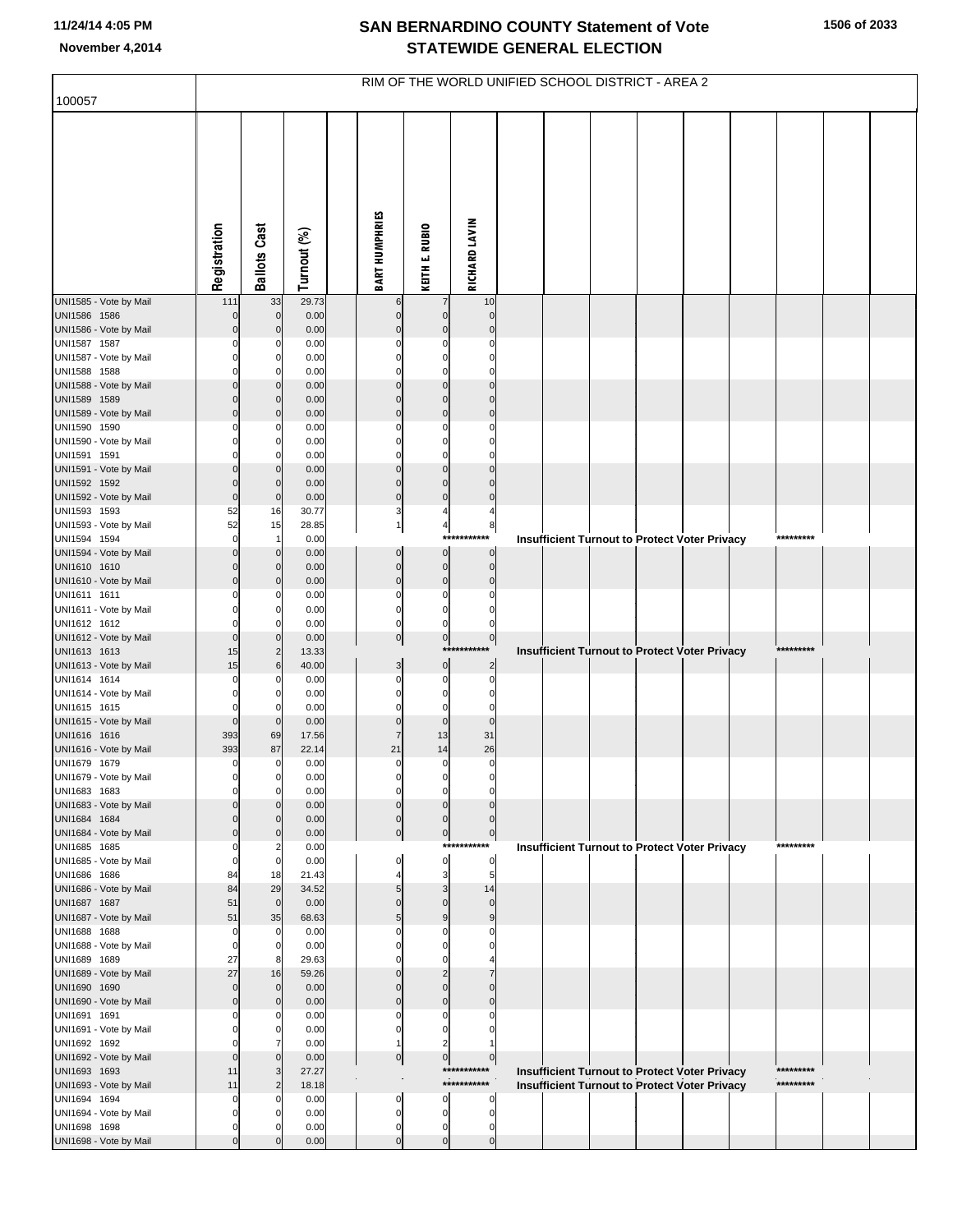|                                        | RIM OF THE WORLD UNIFIED SCHOOL DISTRICT - AREA 2 |                            |                |  |                            |                            |                               |  |                                                                                                              |  |  |  |  |           |  |  |
|----------------------------------------|---------------------------------------------------|----------------------------|----------------|--|----------------------------|----------------------------|-------------------------------|--|--------------------------------------------------------------------------------------------------------------|--|--|--|--|-----------|--|--|
| 100057                                 |                                                   |                            |                |  |                            |                            |                               |  |                                                                                                              |  |  |  |  |           |  |  |
|                                        | Registration                                      | <b>Ballots Cast</b>        | Turnout (%)    |  | <b>BART HUMPHRIES</b>      | KEITH E. RUBIO             | RICHARD LAVIN                 |  |                                                                                                              |  |  |  |  |           |  |  |
| UNI1585 - Vote by Mail                 | 111                                               | 33                         | 29.73          |  | 6                          |                            | 10                            |  |                                                                                                              |  |  |  |  |           |  |  |
| UNI1586 1586<br>UNI1586 - Vote by Mail |                                                   | $\mathbf 0$<br>$\mathbf 0$ | 0.00<br>0.00   |  | $\mathbf 0$<br>$\mathbf 0$ | $\Omega$                   | $\mathbf 0$<br>$\Omega$       |  |                                                                                                              |  |  |  |  |           |  |  |
| UNI1587 1587                           |                                                   | 0                          | 0.00           |  | 0                          | C                          | $\Omega$                      |  |                                                                                                              |  |  |  |  |           |  |  |
| UNI1587 - Vote by Mail                 |                                                   | 0                          | 0.00           |  | $\mathbf 0$                | $\Omega$                   | $\Omega$                      |  |                                                                                                              |  |  |  |  |           |  |  |
| UNI1588 1588                           |                                                   | $\Omega$                   | 0.00           |  | 0                          | $\Omega$                   | $\Omega$                      |  |                                                                                                              |  |  |  |  |           |  |  |
| UNI1588 - Vote by Mail<br>UNI1589 1589 |                                                   | $\mathbf 0$<br>$\mathbf 0$ | 0.00<br>0.00   |  | $\mathbf 0$<br>$\mathbf 0$ | $\Omega$<br>$\mathbf 0$    | $\Omega$<br>$\Omega$          |  |                                                                                                              |  |  |  |  |           |  |  |
| UNI1589 - Vote by Mail                 | 0                                                 | $\mathbf 0$                | 0.00           |  | $\mathbf 0$                | $\mathbf 0$                | $\mathbf 0$                   |  |                                                                                                              |  |  |  |  |           |  |  |
| UNI1590 1590                           |                                                   | 0                          | 0.00           |  | 0                          | 0                          | $\Omega$                      |  |                                                                                                              |  |  |  |  |           |  |  |
| UNI1590 - Vote by Mail                 |                                                   | 0                          | 0.00           |  | $\mathbf 0$                | 0                          | $\Omega$                      |  |                                                                                                              |  |  |  |  |           |  |  |
| UNI1591 1591                           |                                                   | $\Omega$                   | 0.00           |  | 0                          | $\Omega$                   |                               |  |                                                                                                              |  |  |  |  |           |  |  |
| UNI1591 - Vote by Mail<br>UNI1592 1592 |                                                   | $\mathbf 0$<br>$\mathbf 0$ | 0.00<br>0.00   |  | $\pmb{0}$<br>$\mathbf 0$   | $\mathbf 0$<br>$\mathbf 0$ | $\Omega$<br>$\Omega$          |  |                                                                                                              |  |  |  |  |           |  |  |
| UNI1592 - Vote by Mail                 | 0                                                 | $\overline{0}$             | 0.00           |  | $\mathbf 0$                | $\pmb{0}$                  | $\mathbf 0$                   |  |                                                                                                              |  |  |  |  |           |  |  |
| UNI1593 1593                           | 52                                                | 16                         | 30.77          |  | 3                          | $\overline{4}$             | $\overline{4}$                |  |                                                                                                              |  |  |  |  |           |  |  |
| UNI1593 - Vote by Mail                 | 52                                                | 15                         | 28.85          |  | $\mathbf{1}$               | $\overline{\mathbf{4}}$    | 8                             |  |                                                                                                              |  |  |  |  |           |  |  |
| UNI1594 1594                           | $\Omega$                                          | $\mathbf{1}$               | 0.00           |  |                            | ***                        |                               |  | <b>Insufficient Turnout to Protect Voter Privacy</b>                                                         |  |  |  |  | ********* |  |  |
| UNI1594 - Vote by Mail<br>UNI1610 1610 |                                                   | $\mathbf 0$<br>$\mathbf 0$ | 0.00<br>0.00   |  | $\pmb{0}$<br>$\pmb{0}$     | $\pmb{0}$<br>$\pmb{0}$     | $\overline{0}$<br>$\pmb{0}$   |  |                                                                                                              |  |  |  |  |           |  |  |
| UNI1610 - Vote by Mail                 | 0                                                 | $\mathbf 0$                | 0.00           |  | $\mathbf 0$                | $\pmb{0}$                  | $\mathbf 0$                   |  |                                                                                                              |  |  |  |  |           |  |  |
| UNI1611 1611                           |                                                   | 0                          | 0.00           |  | $\mathbf 0$                | $\mathbf 0$                | $\Omega$                      |  |                                                                                                              |  |  |  |  |           |  |  |
| UNI1611 - Vote by Mail                 |                                                   | 0                          | 0.00           |  | $\mathbf 0$                | $\mathbf 0$                | $\Omega$                      |  |                                                                                                              |  |  |  |  |           |  |  |
| UNI1612 1612<br>UNI1612 - Vote by Mail | $\Omega$                                          | $\Omega$<br>$\mathbf 0$    | 0.00<br>0.00   |  | $\mathbf 0$<br>$\circ$     | $\pmb{0}$<br>$\mathbf 0$   | $\overline{0}$                |  |                                                                                                              |  |  |  |  |           |  |  |
| UNI1613 1613                           | 15                                                | $\overline{c}$             | 13.33          |  |                            | ***                        |                               |  | <b>Insufficient Turnout to Protect Voter Privacy</b>                                                         |  |  |  |  | ********* |  |  |
| UNI1613 - Vote by Mail                 | 15                                                | 6                          | 40.00          |  | 3                          | $\pmb{0}$                  | $\overline{2}$                |  |                                                                                                              |  |  |  |  |           |  |  |
| UNI1614 1614                           |                                                   | 0                          | 0.00           |  | $\mathbf 0$                | 0                          | $\mathbf 0$                   |  |                                                                                                              |  |  |  |  |           |  |  |
| UNI1614 - Vote by Mail<br>UNI1615 1615 |                                                   | 0<br>0                     | 0.00<br>0.00   |  | $\mathbf 0$<br>0           | 0<br>0                     | $\mathbf 0$<br>$\mathbf 0$    |  |                                                                                                              |  |  |  |  |           |  |  |
| UNI1615 - Vote by Mail                 | $\Omega$                                          | $\mathbf 0$                | 0.00           |  | $\pmb{0}$                  | $\mathbf 0$                | $\overline{0}$                |  |                                                                                                              |  |  |  |  |           |  |  |
| UNI1616 1616                           | 393                                               | 69                         | 17.56          |  | $\overline{7}$             | 13                         | 31                            |  |                                                                                                              |  |  |  |  |           |  |  |
| UNI1616 - Vote by Mail                 | 393                                               | 87                         | 22.14          |  | 21                         | 14                         | 26                            |  |                                                                                                              |  |  |  |  |           |  |  |
| UNI1679 1679<br>UNI1679 - Vote by Mail | 0                                                 | $\overline{0}$             | 0.00           |  | $\mathbf 0$                | $\pmb{0}$                  | $\pmb{0}$                     |  |                                                                                                              |  |  |  |  |           |  |  |
| UNI1683 1683                           |                                                   | $\mathbf 0$<br>0           | 0.00<br>0.00   |  | 0<br>$\mathbf 0$           | 0<br>$\mathbf 0$           | $\mathbf 0$                   |  |                                                                                                              |  |  |  |  |           |  |  |
| UNI1683 - Vote by Mail                 |                                                   | $\Omega$                   | 0.00           |  | $\mathbf 0$                | $\Omega$                   | $\Omega$                      |  |                                                                                                              |  |  |  |  |           |  |  |
| UNI1684 1684                           |                                                   | 0                          | 0.00           |  | $\pmb{0}$                  | $\mathbf 0$                | $\Omega$                      |  |                                                                                                              |  |  |  |  |           |  |  |
| UNI1684 - Vote by Mail                 |                                                   | $\Omega$                   | 0.00           |  | $\mathbf 0$                | $\pmb{0}$<br>****          | $\pmb{0}$                     |  |                                                                                                              |  |  |  |  | ********* |  |  |
| UNI1685 1685<br>UNI1685 - Vote by Mail | 0                                                 | 2<br>$\overline{0}$        | 0.00<br>0.00   |  | 0                          | $\pmb{0}$                  | $\pmb{0}$                     |  | <b>Insufficient Turnout to Protect Voter Privacy</b>                                                         |  |  |  |  |           |  |  |
| UNI1686 1686                           | 84                                                | 18                         | 21.43          |  |                            | 3                          | 5                             |  |                                                                                                              |  |  |  |  |           |  |  |
| UNI1686 - Vote by Mail                 | 84                                                | 29                         | 34.52          |  | 5                          | 3                          | 14                            |  |                                                                                                              |  |  |  |  |           |  |  |
| UNI1687 1687                           | 51                                                | $\mathbf 0$                | 0.00           |  | $\mathbf 0$                | $\Omega$                   | $\mathbf 0$                   |  |                                                                                                              |  |  |  |  |           |  |  |
| UNI1687 - Vote by Mail<br>UNI1688 1688 | 51<br>C                                           | 35<br>0                    | 68.63<br>0.00  |  | 5<br>0                     | 9<br>0                     | 9<br>O                        |  |                                                                                                              |  |  |  |  |           |  |  |
| UNI1688 - Vote by Mail                 | $\Omega$                                          | $\overline{0}$             | 0.00           |  | $\Omega$                   | C                          |                               |  |                                                                                                              |  |  |  |  |           |  |  |
| UNI1689 1689                           | 27                                                | 8                          | 29.63          |  | $\Omega$                   |                            |                               |  |                                                                                                              |  |  |  |  |           |  |  |
| UNI1689 - Vote by Mail                 | 27                                                | 16                         | 59.26          |  | $\mathbf 0$                | 2                          |                               |  |                                                                                                              |  |  |  |  |           |  |  |
| UNI1690 1690<br>UNI1690 - Vote by Mail | 0<br>0                                            | $\mathbf 0$<br>$\mathbf 0$ | 0.00<br>0.00   |  | $\mathbf 0$<br>$\pmb{0}$   | $\Omega$<br>$\mathbf 0$    | $\Omega$                      |  |                                                                                                              |  |  |  |  |           |  |  |
| UNI1691 1691                           |                                                   | 0                          | 0.00           |  | 0                          | 0                          |                               |  |                                                                                                              |  |  |  |  |           |  |  |
| UNI1691 - Vote by Mail                 |                                                   | 0                          | 0.00           |  | 0                          | $\Omega$                   |                               |  |                                                                                                              |  |  |  |  |           |  |  |
| UNI1692 1692                           |                                                   |                            | 0.00           |  |                            | 2                          |                               |  |                                                                                                              |  |  |  |  |           |  |  |
| UNI1692 - Vote by Mail                 | 0                                                 | $\mathbf 0$                | 0.00           |  | $\pmb{0}$                  | $\pmb{0}$                  | $\overline{0}$<br>*********** |  |                                                                                                              |  |  |  |  | ********* |  |  |
| UNI1693 1693<br>UNI1693 - Vote by Mail | 11<br>11                                          | 3<br>2                     | 27.27<br>18.18 |  |                            |                            | ***********                   |  | <b>Insufficient Turnout to Protect Voter Privacy</b><br><b>Insufficient Turnout to Protect Voter Privacy</b> |  |  |  |  | ********* |  |  |
| UNI1694 1694                           |                                                   | 0                          | 0.00           |  | 0                          | 0                          |                               |  |                                                                                                              |  |  |  |  |           |  |  |
| UNI1694 - Vote by Mail                 |                                                   |                            | 0.00           |  | $\pmb{0}$                  | $\mathbf 0$                | $\mathbf 0$                   |  |                                                                                                              |  |  |  |  |           |  |  |
| UNI1698 1698                           |                                                   |                            | 0.00           |  | $\pmb{0}$                  | 0                          | 0                             |  |                                                                                                              |  |  |  |  |           |  |  |
| UNI1698 - Vote by Mail                 |                                                   |                            | 0.00           |  | $\Omega$                   |                            |                               |  |                                                                                                              |  |  |  |  |           |  |  |